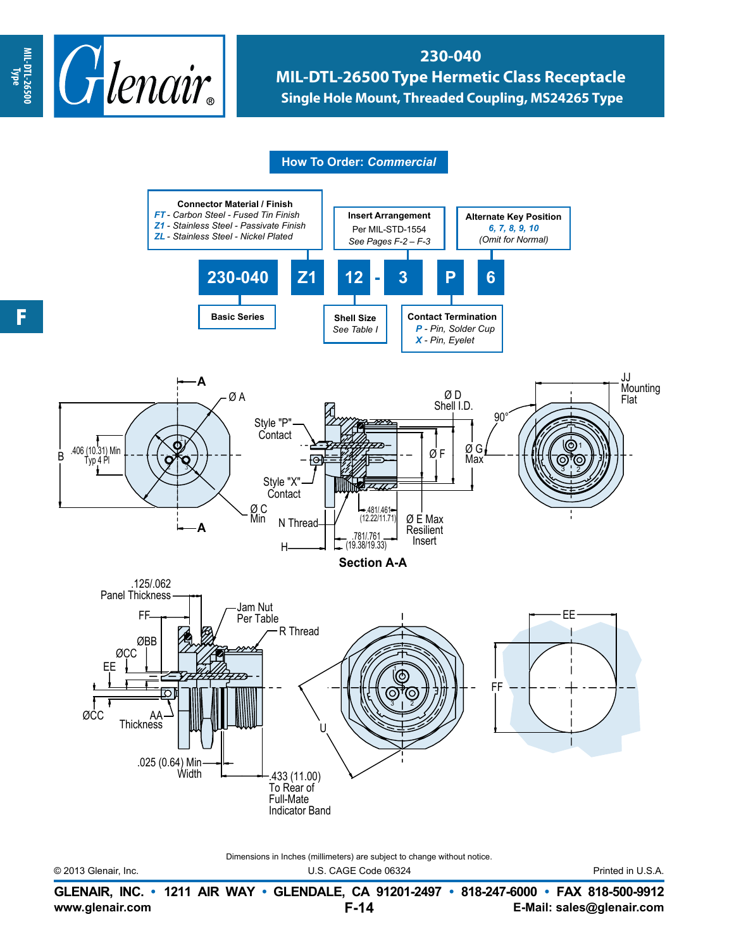

## **230-040 MIL-DTL-26500 Type Hermetic Class Receptacle Single Hole Mount, Threaded Coupling, MS24265 Type**

**How To Order:** *Commercial*



Dimensions in Inches (millimeters) are subject to change without notice.

© 2013 Glenair, Inc. U.S. CAGE Code 06324 Printed in U.S.A.

**www.glenair.com E-Mail: sales@glenair.com GLENAIR, INC. • 1211 AIR WAY • GLENDALE, CA 91201-2497 • 818-247-6000 • FAX 818-500-9912 F-14**